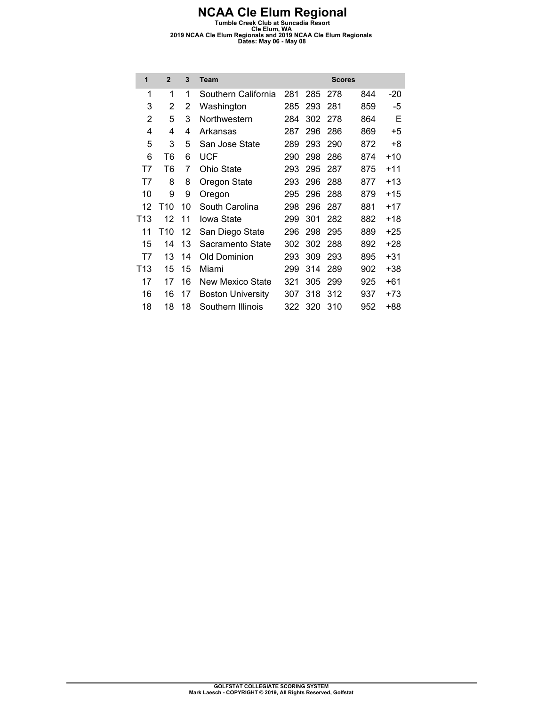| 1               | $\overline{2}$  | 3  | <b>Team</b>              |     |     | <b>Scores</b> |     |       |
|-----------------|-----------------|----|--------------------------|-----|-----|---------------|-----|-------|
| 1               | 1               | 1  | Southern California      | 281 | 285 | 278           | 844 | -20   |
| 3               | 2               | 2  | Washington               | 285 | 293 | 281           | 859 | -5    |
| 2               | 5               | 3  | Northwestern             | 284 | 302 | 278           | 864 | Е     |
| 4               | 4               | 4  | Arkansas                 | 287 | 296 | 286           | 869 | $+5$  |
| 5               | 3               | 5  | San Jose State           | 289 | 293 | 290           | 872 | +8    |
| 6               | T6              | 6  | UCF                      | 290 | 298 | 286           | 874 | $+10$ |
| T7              | T6              | 7  | Ohio State               | 293 | 295 | 287           | 875 | $+11$ |
| T7              | 8               | 8  | Oregon State             | 293 | 296 | 288           | 877 | $+13$ |
| 10              | 9               | 9  | Oregon                   | 295 | 296 | 288           | 879 | $+15$ |
| 12              | T <sub>10</sub> | 10 | South Carolina           | 298 | 296 | 287           | 881 | $+17$ |
| T <sub>13</sub> | 12              | 11 | Iowa State               | 299 | 301 | 282           | 882 | $+18$ |
| 11              | T <sub>10</sub> | 12 | San Diego State          | 296 | 298 | 295           | 889 | $+25$ |
| 15              | 14              | 13 | Sacramento State         | 302 | 302 | 288           | 892 | $+28$ |
| T7              | 13              | 14 | Old Dominion             | 293 | 309 | 293           | 895 | $+31$ |
| T <sub>13</sub> | 15              | 15 | Miami                    | 299 | 314 | 289           | 902 | +38   |
| 17              | 17              | 16 | New Mexico State         | 321 | 305 | 299           | 925 | $+61$ |
| 16              | 16              | 17 | <b>Boston University</b> | 307 | 318 | 312           | 937 | $+73$ |
| 18              | 18              | 18 | Southern Illinois        | 322 | 320 | 310           | 952 | +88   |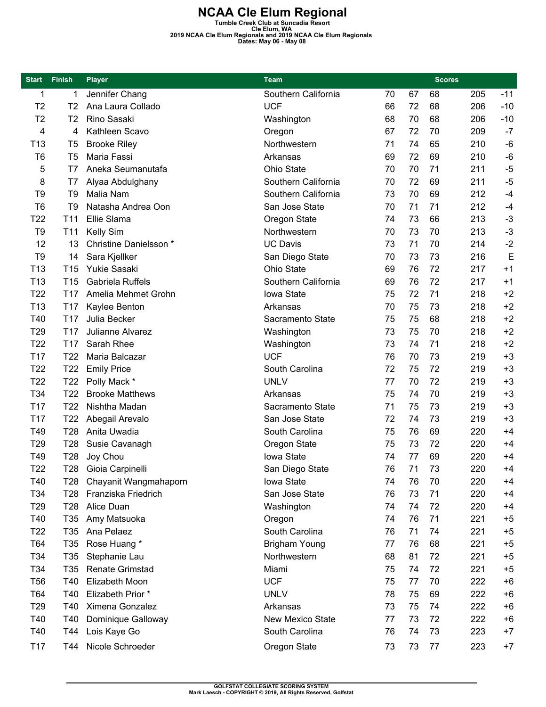| <b>Start</b>    | <b>Finish</b>   | <b>Player</b>          | <b>Team</b>          |    |    | <b>Scores</b> |     |       |
|-----------------|-----------------|------------------------|----------------------|----|----|---------------|-----|-------|
| 1               | 1               | Jennifer Chang         | Southern California  | 70 | 67 | 68            | 205 | $-11$ |
| T <sub>2</sub>  | T2              | Ana Laura Collado      | <b>UCF</b>           | 66 | 72 | 68            | 206 | $-10$ |
| T <sub>2</sub>  | T2              | Rino Sasaki            | Washington           | 68 | 70 | 68            | 206 | $-10$ |
| 4               | 4               | Kathleen Scavo         | Oregon               | 67 | 72 | 70            | 209 | $-7$  |
| T <sub>13</sub> | T <sub>5</sub>  | <b>Brooke Riley</b>    | Northwestern         | 71 | 74 | 65            | 210 | $-6$  |
| T <sub>6</sub>  | T5              | Maria Fassi            | Arkansas             | 69 | 72 | 69            | 210 | $-6$  |
| 5               | T7              | Aneka Seumanutafa      | <b>Ohio State</b>    | 70 | 70 | 71            | 211 | $-5$  |
| 8               | T7              | Alyaa Abdulghany       | Southern California  | 70 | 72 | 69            | 211 | $-5$  |
| T9              | T9              | Malia Nam              | Southern California  | 73 | 70 | 69            | 212 | $-4$  |
| T <sub>6</sub>  | T9              | Natasha Andrea Oon     | San Jose State       | 70 | 71 | 71            | 212 | $-4$  |
| T <sub>22</sub> | T <sub>11</sub> | Ellie Slama            | Oregon State         | 74 | 73 | 66            | 213 | $-3$  |
| T9              | T <sub>11</sub> | Kelly Sim              | Northwestern         | 70 | 73 | 70            | 213 | $-3$  |
| 12              | 13              | Christine Danielsson * | <b>UC Davis</b>      | 73 | 71 | 70            | 214 | $-2$  |
| T <sub>9</sub>  | 14              | Sara Kjellker          | San Diego State      | 70 | 73 | 73            | 216 | E     |
| T <sub>13</sub> | T <sub>15</sub> | <b>Yukie Sasaki</b>    | <b>Ohio State</b>    | 69 | 76 | 72            | 217 | $+1$  |
| T <sub>13</sub> | T <sub>15</sub> | Gabriela Ruffels       | Southern California  | 69 | 76 | 72            | 217 | $+1$  |
| T <sub>22</sub> | T <sub>17</sub> | Amelia Mehmet Grohn    | Iowa State           | 75 | 72 | 71            | 218 | $+2$  |
| T <sub>13</sub> | T17             | Kaylee Benton          | Arkansas             | 70 | 75 | 73            | 218 | $+2$  |
| T40             | T <sub>17</sub> | Julia Becker           | Sacramento State     | 75 | 75 | 68            | 218 | $+2$  |
| T <sub>29</sub> | T <sub>17</sub> | Julianne Alvarez       | Washington           | 73 | 75 | 70            | 218 | $+2$  |
| T <sub>22</sub> | T <sub>17</sub> | Sarah Rhee             | Washington           | 73 | 74 | 71            | 218 | $+2$  |
| T17             | T <sub>22</sub> | Maria Balcazar         | <b>UCF</b>           | 76 | 70 | 73            | 219 | $+3$  |
| T <sub>22</sub> | T <sub>22</sub> | <b>Emily Price</b>     | South Carolina       | 72 | 75 | 72            | 219 | $+3$  |
| T <sub>22</sub> | T <sub>22</sub> | Polly Mack *           | <b>UNLV</b>          | 77 | 70 | 72            | 219 | $+3$  |
| T34             | T <sub>22</sub> | <b>Brooke Matthews</b> | Arkansas             | 75 | 74 | 70            | 219 | $+3$  |
| T17             | T <sub>22</sub> | Nishtha Madan          | Sacramento State     | 71 | 75 | 73            | 219 | $+3$  |
| T <sub>17</sub> | T <sub>22</sub> | Abegail Arevalo        | San Jose State       | 72 | 74 | 73            | 219 | $+3$  |
| T49             | T <sub>28</sub> | Anita Uwadia           | South Carolina       | 75 | 76 | 69            | 220 | $+4$  |
| T <sub>29</sub> | T <sub>28</sub> | Susie Cavanagh         | Oregon State         | 75 | 73 | 72            | 220 | $+4$  |
| T49             | T <sub>28</sub> | Joy Chou               | Iowa State           | 74 | 77 | 69            | 220 | $+4$  |
| T22             | T28             | Gioia Carpinelli       | San Diego State      | 76 | 71 | 73            | 220 | $+4$  |
| T40             | T28             | Chayanit Wangmahaporn  | Iowa State           | 74 | 76 | 70            | 220 | +4    |
| T34             | T <sub>28</sub> | Franziska Friedrich    | San Jose State       | 76 | 73 | 71            | 220 | $+4$  |
| T <sub>29</sub> | T <sub>28</sub> | Alice Duan             | Washington           | 74 | 74 | 72            | 220 | $+4$  |
| T40             | T <sub>35</sub> | Amy Matsuoka           | Oregon               | 74 | 76 | 71            | 221 | $+5$  |
| T <sub>22</sub> | T <sub>35</sub> | Ana Pelaez             | South Carolina       | 76 | 71 | 74            | 221 | $+5$  |
| T64             | T <sub>35</sub> | Rose Huang *           | <b>Brigham Young</b> | 77 | 76 | 68            | 221 | $+5$  |
| T34             | T <sub>35</sub> | Stephanie Lau          | Northwestern         | 68 | 81 | 72            | 221 | $+5$  |
| T34             | T35             | <b>Renate Grimstad</b> | Miami                | 75 | 74 | 72            | 221 | $+5$  |
| T <sub>56</sub> | T40             | Elizabeth Moon         | <b>UCF</b>           | 75 | 77 | 70            | 222 | $+6$  |
| T64             | T40             | Elizabeth Prior *      | <b>UNLV</b>          | 78 | 75 | 69            | 222 | $+6$  |
| T <sub>29</sub> | T40             | Ximena Gonzalez        | Arkansas             | 73 | 75 | 74            | 222 | $+6$  |
| T40             | T40             | Dominique Galloway     | New Mexico State     | 77 | 73 | 72            | 222 | $+6$  |
| T40             | T44             | Lois Kaye Go           | South Carolina       | 76 | 74 | 73            | 223 | $+7$  |
| T <sub>17</sub> | T44             | Nicole Schroeder       | Oregon State         | 73 | 73 | 77            | 223 | $+7$  |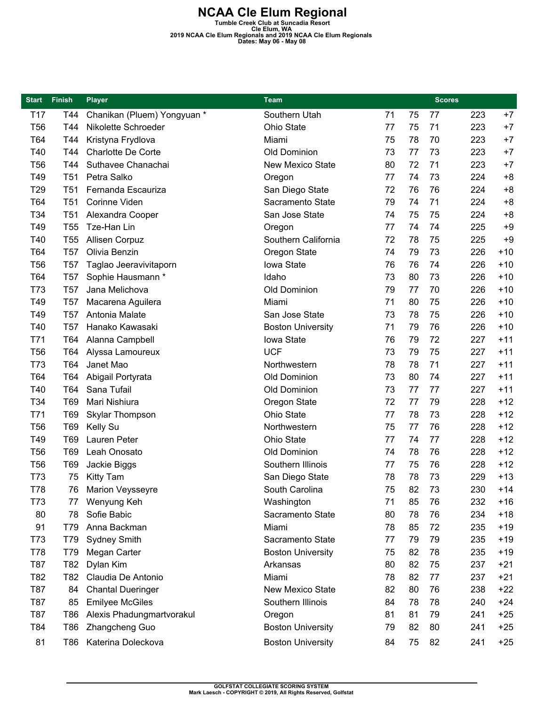| <b>Start</b>    | <b>Finish</b>   | <b>Player</b>               | Team                     |    |    | <b>Scores</b> |     |       |
|-----------------|-----------------|-----------------------------|--------------------------|----|----|---------------|-----|-------|
| T <sub>17</sub> | T44             | Chanikan (Pluem) Yongyuan * | Southern Utah            | 71 | 75 | 77            | 223 | $+7$  |
| <b>T56</b>      | T44             | Nikolette Schroeder         | Ohio State               | 77 | 75 | 71            | 223 | $+7$  |
| T64             | T44             | Kristyna Frydlova           | Miami                    | 75 | 78 | 70            | 223 | $+7$  |
| T40             | T44             | <b>Charlotte De Corte</b>   | Old Dominion             | 73 | 77 | 73            | 223 | $+7$  |
| <b>T56</b>      | T44             | Suthavee Chanachai          | New Mexico State         | 80 | 72 | 71            | 223 | $+7$  |
| T49             | <b>T51</b>      | Petra Salko                 | Oregon                   | 77 | 74 | 73            | 224 | $+8$  |
| T29             | T <sub>51</sub> | Fernanda Escauriza          | San Diego State          | 72 | 76 | 76            | 224 | $+8$  |
| T64             | <b>T51</b>      | Corinne Viden               | Sacramento State         | 79 | 74 | 71            | 224 | $+8$  |
| T34             | <b>T51</b>      | Alexandra Cooper            | San Jose State           | 74 | 75 | 75            | 224 | $+8$  |
| T49             | T <sub>55</sub> | Tze-Han Lin                 | Oregon                   | 77 | 74 | 74            | 225 | $+9$  |
| T40             | <b>T55</b>      | Allisen Corpuz              | Southern California      | 72 | 78 | 75            | 225 | $+9$  |
| T64             | <b>T57</b>      | Olivia Benzin               | Oregon State             | 74 | 79 | 73            | 226 | $+10$ |
| T <sub>56</sub> | <b>T57</b>      | Taglao Jeeravivitaporn      | Iowa State               | 76 | 76 | 74            | 226 | $+10$ |
| T64             | T57             | Sophie Hausmann *           | Idaho                    | 73 | 80 | 73            | 226 | $+10$ |
| T73             | <b>T57</b>      | Jana Melichova              | Old Dominion             | 79 | 77 | 70            | 226 | $+10$ |
| T49             | T57             | Macarena Aguilera           | Miami                    | 71 | 80 | 75            | 226 | $+10$ |
| T49             | T57             | Antonia Malate              | San Jose State           | 73 | 78 | 75            | 226 | $+10$ |
| T40             | <b>T57</b>      | Hanako Kawasaki             | <b>Boston University</b> | 71 | 79 | 76            | 226 | $+10$ |
| T71             | T64             | Alanna Campbell             | Iowa State               | 76 | 79 | 72            | 227 | $+11$ |
| <b>T56</b>      | T64             | Alyssa Lamoureux            | <b>UCF</b>               | 73 | 79 | 75            | 227 | $+11$ |
| T73             | T64             | Janet Mao                   | Northwestern             |    | 78 | 71            | 227 | $+11$ |
| T64             | T64             | Abigail Portyrata           | Old Dominion             | 73 | 80 | 74            | 227 | $+11$ |
| T40             | T64             | Sana Tufail                 | Old Dominion             | 73 | 77 | 77            | 227 | $+11$ |
| T34             | T69             | Mari Nishiura               | Oregon State             | 72 | 77 | 79            | 228 | $+12$ |
| T71             | T69             | Skylar Thompson             | Ohio State               | 77 | 78 | 73            | 228 | $+12$ |
| <b>T56</b>      | T69             | Kelly Su                    | Northwestern             | 75 | 77 | 76            | 228 | $+12$ |
| T49             | T69             | Lauren Peter                | Ohio State               | 77 | 74 | 77            | 228 | $+12$ |
| T <sub>56</sub> | <b>T69</b>      | Leah Onosato                | Old Dominion             | 74 | 78 | 76            | 228 | $+12$ |
| T <sub>56</sub> | T69             | Jackie Biggs                | Southern Illinois        | 77 | 75 | 76            | 228 | $+12$ |
| T73             | 75              | <b>Kitty Tam</b>            | San Diego State          | 78 | 78 | 73            | 229 | $+13$ |
| T78             | 76              | <b>Marion Veysseyre</b>     | South Carolina           | 75 | 82 | 73            | 230 | $+14$ |
| T73             | 77              | Wenyung Keh                 | Washington               | 71 | 85 | 76            | 232 | $+16$ |
| 80              | 78              | Sofie Babic                 | Sacramento State         | 80 | 78 | 76            | 234 | $+18$ |
| 91              | T79             | Anna Backman                | Miami                    | 78 | 85 | 72            | 235 | $+19$ |
| T73             | T79             | <b>Sydney Smith</b>         | Sacramento State         | 77 | 79 | 79            | 235 | $+19$ |
| T78             | T79             | Megan Carter                | <b>Boston University</b> | 75 | 82 | 78            | 235 | $+19$ |
| T87             | T82             | Dylan Kim                   | Arkansas                 | 80 | 82 | 75            | 237 | $+21$ |
| T82             | T82             | Claudia De Antonio          | Miami                    | 78 | 82 | 77            | 237 | $+21$ |
| T87             | 84              | <b>Chantal Dueringer</b>    | <b>New Mexico State</b>  | 82 | 80 | 76            | 238 | $+22$ |
| T87             | 85              | <b>Emilyee McGiles</b>      | Southern Illinois        | 84 | 78 | 78            | 240 | $+24$ |
| T87             | T86             | Alexis Phadungmartvorakul   | Oregon                   | 81 | 81 | 79            | 241 | $+25$ |
| T84             | T86             | Zhangcheng Guo              | <b>Boston University</b> | 79 | 82 | 80            | 241 | $+25$ |
| 81              | T86             | Katerina Doleckova          | <b>Boston University</b> | 84 | 75 | 82            | 241 | $+25$ |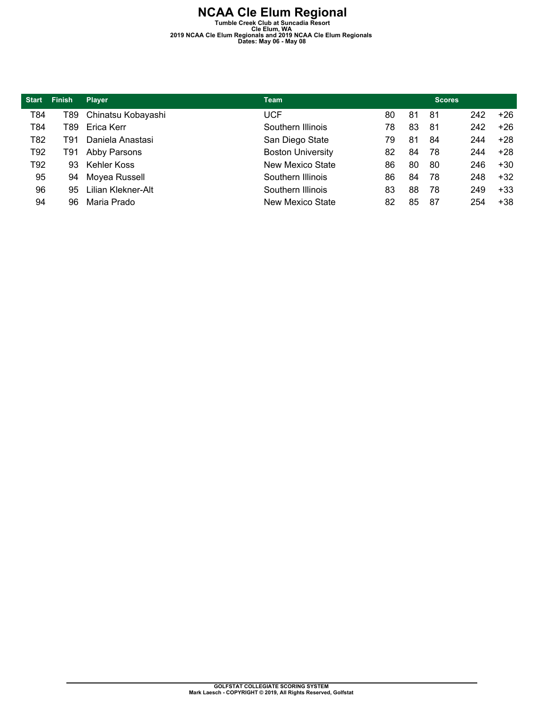| <b>Start</b> | <b>Finish</b> | <b>Player</b>          | <b>Team</b>              |    |    | <b>Scores</b> |     |       |
|--------------|---------------|------------------------|--------------------------|----|----|---------------|-----|-------|
| T84          |               | T89 Chinatsu Kobayashi | UCF                      | 80 | 81 | -81           | 242 | $+26$ |
| T84          | T89           | Erica Kerr             | Southern Illinois        | 78 | 83 | -81           | 242 | $+26$ |
| T82          | T91           | Daniela Anastasi       | San Diego State          | 79 | 81 | 84            | 244 | $+28$ |
| T92          | T91           | Abby Parsons           | <b>Boston University</b> | 82 | 84 | 78            | 244 | $+28$ |
| T92          | 93            | Kehler Koss            | New Mexico State         | 86 | 80 | 80            | 246 | $+30$ |
| 95           | 94            | Moyea Russell          | Southern Illinois        | 86 | 84 | 78            | 248 | $+32$ |
| 96           | 95.           | Lilian Klekner-Alt     | Southern Illinois        | 83 | 88 | 78            | 249 | $+33$ |
| 94           | 96            | Maria Prado            | New Mexico State         | 82 | 85 | 87            | 254 | $+38$ |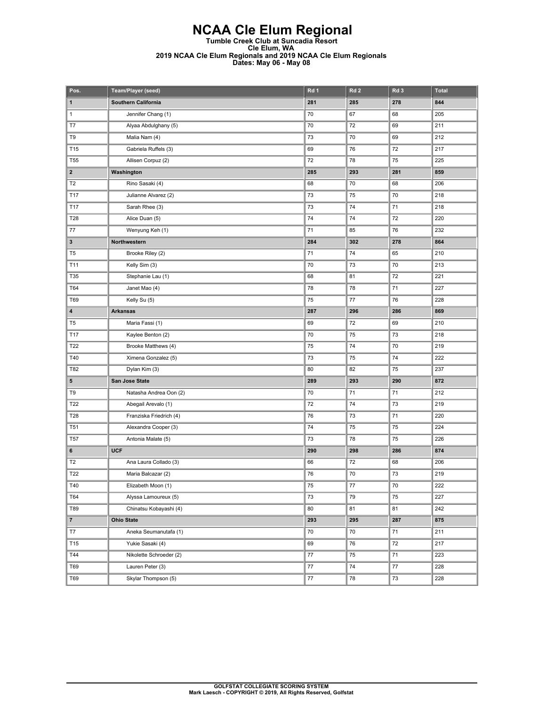| Pos.                    | Team/Player (seed)      | Rd 1 | Rd <sub>2</sub> | Rd <sub>3</sub> | <b>Total</b> |
|-------------------------|-------------------------|------|-----------------|-----------------|--------------|
| $\mathbf{1}$            | Southern California     | 281  | 285             | 278             | 844          |
| $\mathbf{1}$            | Jennifer Chang (1)      | 70   | 67              | 68              | 205          |
| T7                      | Alyaa Abdulghany (5)    | 70   | 72              | 69              | 211          |
| T9                      | Malia Nam (4)           | 73   | 70              | 69              | 212          |
| T15                     | Gabriela Ruffels (3)    | 69   | 76              | 72              | 217          |
| T <sub>55</sub>         | Allisen Corpuz (2)      | 72   | 78              | 75              | 225          |
| $\mathbf{2}$            | Washington              | 285  | 293             | 281             | 859          |
| T <sub>2</sub>          | Rino Sasaki (4)         | 68   | $70\,$          | 68              | 206          |
| T17                     | Julianne Alvarez (2)    | 73   | 75              | 70              | 218          |
| T17                     | Sarah Rhee (3)          | 73   | 74              | 71              | 218          |
| T28                     | Alice Duan (5)          | 74   | 74              | 72              | 220          |
| 77                      | Wenyung Keh (1)         | 71   | 85              | 76              | 232          |
| $\mathbf{3}$            | Northwestern            | 284  | 302             | 278             | 864          |
| T <sub>5</sub>          | Brooke Riley (2)        | 71   | 74              | 65              | 210          |
| T11                     | Kelly Sim (3)           | 70   | 73              | 70              | 213          |
| T35                     | Stephanie Lau (1)       | 68   | 81              | 72              | 221          |
| T64                     | Janet Mao (4)           | 78   | 78              | 71              | 227          |
| T69                     | Kelly Su (5)            | 75   | 77              | 76              | 228          |
| $\overline{\mathbf{4}}$ | <b>Arkansas</b>         | 287  | 296             | 286             | 869          |
| T <sub>5</sub>          | Maria Fassi (1)         | 69   | 72              | 69              | 210          |
| T17                     | Kaylee Benton (2)       | 70   | 75              | 73              | 218          |
| T22                     | Brooke Matthews (4)     | 75   | 74              | 70              | 219          |
| T40                     | Ximena Gonzalez (5)     | 73   | 75              | 74              | 222          |
| T82                     | Dylan Kim (3)           | 80   | 82              | 75              | 237          |
| 5                       | San Jose State          | 289  | 293             | 290             | 872          |
| T9                      | Natasha Andrea Oon (2)  | 70   | 71              | 71              | 212          |
| T22                     | Abegail Arevalo (1)     | 72   | 74              | 73              | 219          |
| T28                     | Franziska Friedrich (4) | 76   | 73              | 71              | 220          |
| T51                     | Alexandra Cooper (3)    | 74   | 75              | 75              | 224          |
| T <sub>57</sub>         | Antonia Malate (5)      | 73   | 78              | 75              | 226          |
| 6                       | <b>UCF</b>              | 290  | 298             | 286             | 874          |
| T <sub>2</sub>          | Ana Laura Collado (3)   | 66   | 72              | 68              | 206          |
| T22                     | Maria Balcazar (2)      | 76   | 70              | 73              | 219          |
| T40                     | Elizabeth Moon (1)      | 75   | 77              | 70              | 222          |
| T64                     | Alyssa Lamoureux (5)    | 73   | 79              | 75              | 227          |
| T89                     | Chinatsu Kobayashi (4)  | 80   | 81              | 81              | 242          |
| $\overline{7}$          | <b>Ohio State</b>       | 293  | 295             | 287             | 875          |
| T7                      | Aneka Seumanutafa (1)   | 70   | 70              | 71              | 211          |
| T15                     | Yukie Sasaki (4)        | 69   | 76              | 72              | 217          |
| T44                     | Nikolette Schroeder (2) | 77   | 75              | 71              | 223          |
| T69                     | Lauren Peter (3)        | 77   | $74\,$          | $77\,$          | 228          |
| T69                     | Skylar Thompson (5)     | 77   | 78              | 73              | 228          |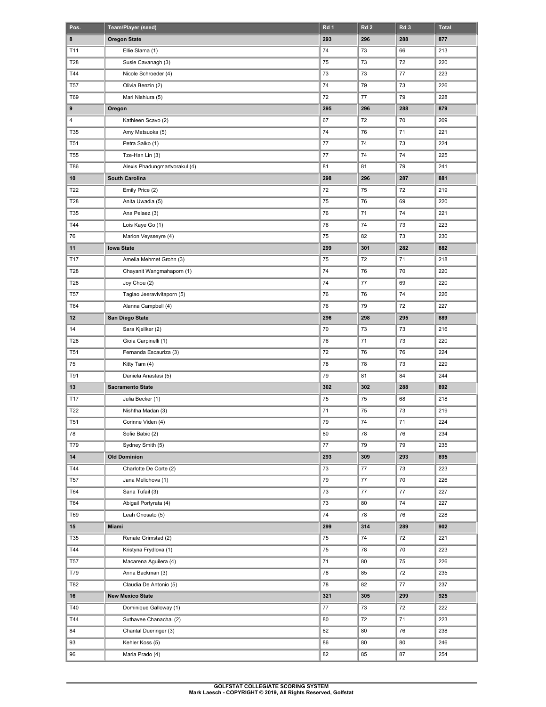| Pos.            | Team/Player (seed)            | Rd 1    | Rd <sub>2</sub> | Rd <sub>3</sub> | <b>Total</b> |
|-----------------|-------------------------------|---------|-----------------|-----------------|--------------|
| 8               | <b>Oregon State</b>           | 293     | 296             | 288             | 877          |
| T11             | Ellie Slama (1)               | 74      | 73              | 66              | 213          |
| T28             | Susie Cavanagh (3)            | 75      | 73              | 72              | 220          |
| T44             | Nicole Schroeder (4)          | 73      | 73              | 77              | 223          |
| <b>T57</b>      | Olivia Benzin (2)             | 74      | 79              | 73              | 226          |
| T69             | Mari Nishiura (5)             | 72      | 77              | 79              | 228          |
| 9               | Oregon                        | 295     | 296             | 288             | 879          |
| 4               | Kathleen Scavo (2)            | 67      | 72              | 70              | 209          |
| T35             | Amy Matsuoka (5)              | 74      | 76              | 71              | 221          |
| <b>T51</b>      | Petra Salko (1)               | $77 \,$ | 74              | 73              | 224          |
| <b>T55</b>      | Tze-Han Lin (3)               | 77      | 74              | 74              | 225          |
| <b>T86</b>      | Alexis Phadungmartvorakul (4) | 81      | 81              | 79              | 241          |
| 10              | South Carolina                | 298     | 296             | 287             | 881          |
| T22             | Emily Price (2)               | 72      | 75              | 72              | 219          |
| T28             | Anita Uwadia (5)              | 75      | 76              | 69              | 220          |
| T35             | Ana Pelaez (3)                | 76      | 71              | 74              | 221          |
| T44             | Lois Kaye Go (1)              | 76      | 74              | 73              | 223          |
| 76              | Marion Veysseyre (4)          | 75      | 82              | 73              | 230          |
| 11              | <b>lowa State</b>             | 299     | 301             | 282             | 882          |
| T17             | Amelia Mehmet Grohn (3)       | 75      | 72              | 71              | 218          |
| T28             | Chayanit Wangmahaporn (1)     | 74      | 76              | 70              | 220          |
| T28             | Joy Chou (2)                  | 74      | 77              | 69              | 220          |
| <b>T57</b>      | Taglao Jeeravivitaporn (5)    | 76      | 76              | 74              | 226          |
| T64             | Alanna Campbell (4)           | 76      | 79              | 72              | 227          |
| $12 \,$         | San Diego State               | 296     | 298             | 295             | 889          |
| 14              | Sara Kjellker (2)             | 70      | 73              | 73              | 216          |
| T28             | Gioia Carpinelli (1)          | 76      | 71              | 73              | 220          |
| <b>T51</b>      | Fernanda Escauriza (3)        | 72      | 76              | 76              | 224          |
| 75              | Kitty Tam (4)                 | 78      | 78              | 73              | 229          |
| T91             | Daniela Anastasi (5)          | 79      | 81              | 84              | 244          |
| 13              | <b>Sacramento State</b>       | 302     | 302             | 288             | 892          |
| T17             | Julia Becker (1)              | 75      | 75              | 68              | 218          |
| T22             | Nishtha Madan (3)             | 71      | 75              | 73              | 219          |
| T <sub>51</sub> | Corinne Viden (4)             | 79      | 74              | 71              | 224          |
| 78              | Sofie Babic (2)               | 80      | 78              | 76              | 234          |
| T79             | Sydney Smith (5)              | 77      | 79              | 79              | 235          |
| 14              | <b>Old Dominion</b>           | 293     | 309             | 293             | 895          |
| T44             | Charlotte De Corte (2)        | 73      | 77              | 73              | 223          |
| T57             | Jana Melichova (1)            | 79      | $77\,$          | 70              | 226          |
| T64             | Sana Tufail (3)               | 73      | 77              | 77              | 227          |
| T64             | Abigail Portyrata (4)         | 73      | 80              | 74              | 227          |
| T69             | Leah Onosato (5)              | 74      | 78              | 76              | 228          |
| $15\,$          | Miami                         | 299     | 314             | 289             | 902          |
| T35             | Renate Grimstad (2)           | 75      | 74              | 72              | 221          |
| T44             | Kristyna Frydlova (1)         | 75      | 78              | 70              | 223          |
| T57             | Macarena Aguilera (4)         | 71      | 80              | 75              | 226          |
| T79             | Anna Backman (3)              | 78      | 85              | 72              | 235          |
| T82             | Claudia De Antonio (5)        | 78      | 82              | $77 \,$         | 237          |
| 16              | <b>New Mexico State</b>       | 321     | 305             | 299             | 925          |
| T40             | Dominique Galloway (1)        | 77      | 73              | 72              | 222          |
| T44             | Suthavee Chanachai (2)        | 80      | 72              | 71              | 223          |
| 84              | Chantal Dueringer (3)         | 82      | 80              | 76              | 238          |
| 93              | Kehler Koss (5)               | 86      | 80              | 80              | 246          |
|                 |                               |         |                 |                 |              |
| 96              | Maria Prado (4)               | 82      | 85              | 87              | 254          |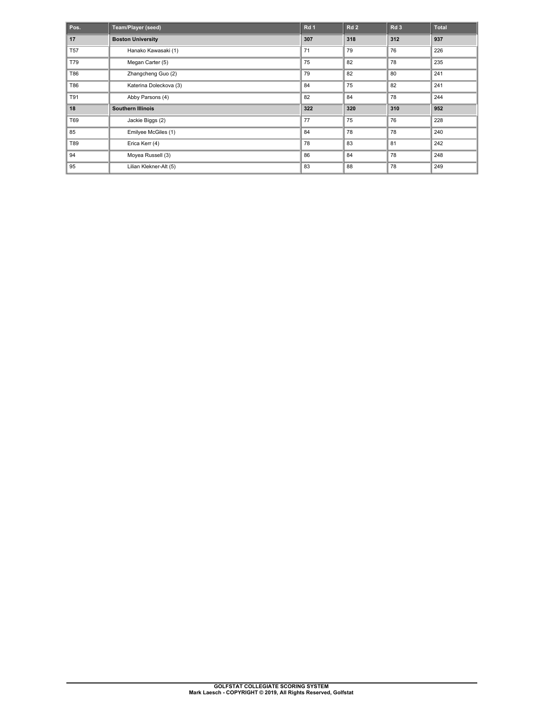| Pos.       | Team/Player (seed)       | Rd <sub>1</sub> | Rd <sub>2</sub> | Rd <sub>3</sub> | <b>Total</b> |
|------------|--------------------------|-----------------|-----------------|-----------------|--------------|
| 17         | <b>Boston University</b> | 307             | 318             | 312             | 937          |
| <b>T57</b> | Hanako Kawasaki (1)      | 71              | 79              | 76              | 226          |
| T79        | Megan Carter (5)         | 75              | 82              | 78              | 235          |
| T86        | Zhangcheng Guo (2)       | 79              | 82              | 80              | 241          |
| T86        | Katerina Doleckova (3)   | 84              | 75              | 82              | 241          |
| T91        | Abby Parsons (4)         | 82              | 84              | 78              | 244          |
| 18         | <b>Southern Illinois</b> | 322             | 320             | 310             | 952          |
| T69        | Jackie Biggs (2)         | 77              | 75              | 76              | 228          |
| 85         | Emilyee McGiles (1)      | 84              | 78              | 78              | 240          |
| T89        | Erica Kerr (4)           | 78              | 83              | 81              | 242          |
| 94         | Moyea Russell (3)        | 86              | 84              | 78              | 248          |
| 95         | Lilian Klekner-Alt (5)   | 83              | 88              | 78              | 249          |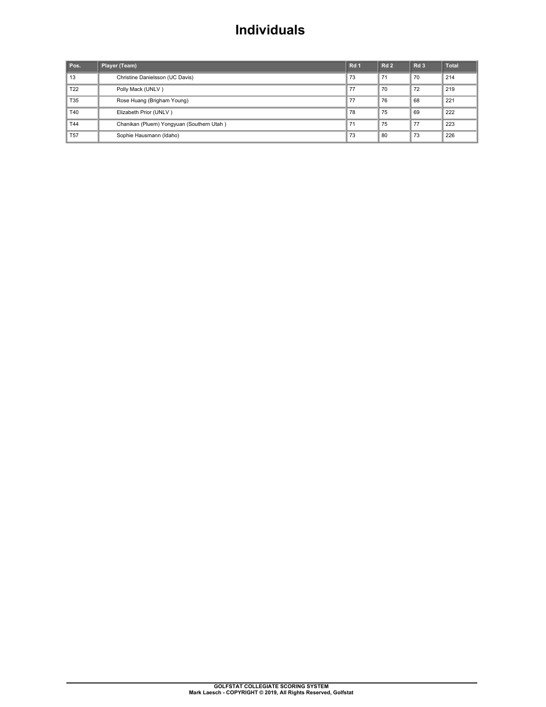#### **Individuals**

| Pos.            | Player (Team)                             | Rd <sub>1</sub> | Rd <sub>2</sub> | Rd <sub>3</sub> | <b>Total</b> |
|-----------------|-------------------------------------------|-----------------|-----------------|-----------------|--------------|
| 13              | Christine Danielsson (UC Davis)           | 73              | 71              | 70              | 214          |
| T <sub>22</sub> | Polly Mack (UNLV)                         | 77              | 70              | 72              | 219          |
| T35             | Rose Huang (Brigham Young)                | 77              | 76              | 68              | 221          |
| T40             | Elizabeth Prior (UNLV)                    | 78              | 75              | 69              | 222          |
| T44             | Chanikan (Pluem) Yongyuan (Southern Utah) | 71              | 75              | 77              | 223          |
| <b>T57</b>      | Sophie Hausmann (Idaho)                   | 73              | 80              | 73              | 226          |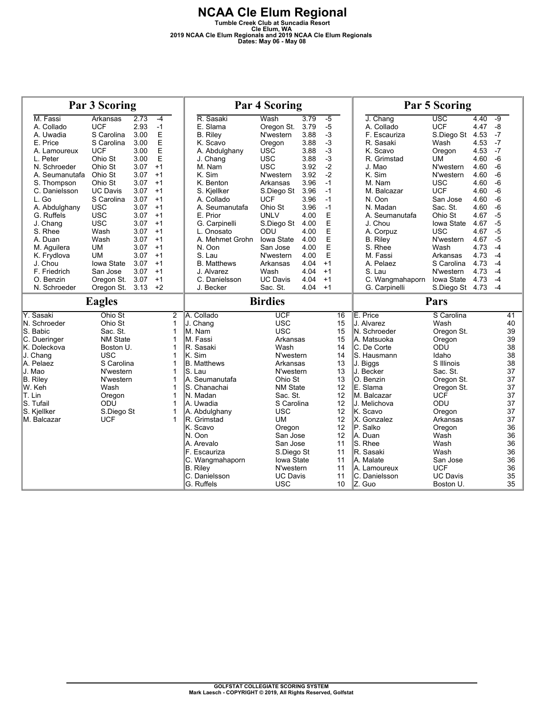|                                          | <b>Par 3 Scoring</b> |      |      |                |                             | <b>Par 4 Scoring</b>          |      |                 | <b>Par 5 Scoring</b>     |                              |      |          |
|------------------------------------------|----------------------|------|------|----------------|-----------------------------|-------------------------------|------|-----------------|--------------------------|------------------------------|------|----------|
| M. Fassi                                 | Arkansas             | 2.73 | $-4$ |                | R. Sasaki                   | Wash                          | 3.79 | $-5$            | J. Chang                 | $\overline{\text{usc}}$      | 4.40 | $-9$     |
| A. Collado                               | <b>UCF</b>           | 2.93 | $-1$ |                | E. Slama                    | Oregon St.                    | 3.79 | $-5$            | A. Collado               | <b>UCF</b>                   | 4.47 | $-8$     |
| A. Uwadia                                | S Carolina           | 3.00 | E    |                | <b>B.</b> Riley             | N'western                     | 3.88 | $-3$            | F. Escauriza             | S.Diego St                   | 4.53 | $-7$     |
| E. Price                                 | S Carolina           | 3.00 | E    |                | K. Scavo                    | Oregon                        | 3.88 | $-3$            | R. Sasaki                | Wash                         | 4.53 | $-7$     |
| A. Lamoureux                             | <b>UCF</b>           | 3.00 | E    |                | A. Abdulghany               | <b>USC</b>                    | 3.88 | $-3$            | K. Scavo                 | Oregon                       | 4.53 | $-7$     |
| L. Peter                                 | Ohio St              | 3.00 | E    |                | J. Chang                    | <b>USC</b>                    | 3.88 | $-3$            | R. Grimstad              | <b>UM</b>                    | 4.60 | $-6$     |
| N. Schroeder                             | Ohio St              | 3.07 | $+1$ |                | M. Nam                      | <b>USC</b>                    | 3.92 | $-2$            | J. Mao                   | N'western                    | 4.60 | $-6$     |
| A. Seumanutafa                           | Ohio St              | 3.07 | $+1$ |                | K. Sim                      | N'western                     | 3.92 | $-2$            | K. Sim                   | N'western                    | 4.60 | -6       |
| S. Thompson                              | Ohio St              | 3.07 | $+1$ |                | K. Benton                   | Arkansas                      | 3.96 | $-1$            | M. Nam                   | <b>USC</b>                   | 4.60 | $-6$     |
| C. Danielsson                            | <b>UC Davis</b>      | 3.07 | $+1$ |                | S. Kjellker                 | S.Diego St                    | 3.96 | $-1$            | M. Balcazar              | <b>UCF</b>                   | 4.60 | $-6$     |
| L. Go                                    | S Carolina           | 3.07 | $+1$ |                | A. Collado                  | <b>UCF</b>                    | 3.96 | $-1$            | N. Oon                   | San Jose                     | 4.60 | $-6$     |
| A. Abdulghany                            | <b>USC</b>           | 3.07 | $+1$ |                | A. Seumanutafa              | Ohio St                       | 3.96 | $-1$            | N. Madan                 | Sac. St.                     | 4.60 | $-6$     |
| G. Ruffels                               | <b>USC</b>           | 3.07 | $+1$ |                | E. Prior                    | <b>UNLV</b>                   | 4.00 | E               | A. Seumanutafa           | Ohio St                      | 4.67 | $-5$     |
| J. Chang                                 | <b>USC</b>           | 3.07 | $+1$ |                | G. Carpinelli               | S.Diego St                    | 4.00 | E               | J. Chou                  | Iowa State                   | 4.67 | $-5$     |
| S. Rhee                                  | Wash                 | 3.07 | $+1$ |                | L. Onosato                  | ODU                           | 4.00 | E               | A. Corpuz                | <b>USC</b>                   | 4.67 | $-5$     |
| A. Duan                                  | Wash                 | 3.07 | $+1$ |                | A. Mehmet Grohn             | lowa State                    | 4.00 | E               | <b>B.</b> Riley          | N'western                    | 4.67 | $-5$     |
| M. Aquilera                              | <b>UM</b>            | 3.07 | $+1$ |                | N. Oon                      | San Jose                      | 4.00 | E               | S. Rhee                  | Wash                         | 4.73 | $-4$     |
| K. Frydlova                              | UM                   | 3.07 | $+1$ |                | S. Lau                      | N'western                     | 4.00 | E               | M. Fassi                 | Arkansas                     | 4.73 | $-4$     |
| J. Chou                                  | Iowa State           | 3.07 | $+1$ |                | <b>B.</b> Matthews          | Arkansas                      | 4.04 | $+1$            | A. Pelaez                | S Carolina                   | 4.73 | $-4$     |
| F. Friedrich                             | San Jose             | 3.07 | $+1$ |                | J. Alvarez                  | Wash                          | 4.04 | $+1$            | S. Lau                   | N'western                    | 4.73 | $-4$     |
| O. Benzin                                | Oregon St.           | 3.07 | $+1$ |                | C. Danielsson               | <b>UC Davis</b>               | 4.04 | $+1$            | C. Wangmahaporn          | Iowa State                   | 4.73 | $-4$     |
| N. Schroeder                             | Oregon St. 3.13      |      | $+2$ |                | J. Becker                   | Sac. St.                      | 4.04 | $+1$            | G. Carpinelli            | S.Diego St 4.73              |      | $-4$     |
|                                          |                      |      |      |                |                             |                               |      |                 |                          |                              |      |          |
|                                          | <b>Eagles</b>        |      |      |                |                             | <b>Birdies</b>                |      |                 |                          | Pars                         |      |          |
| Y. Sasaki                                | Ohio St              |      |      | $\overline{2}$ | A. Collado                  | UCF                           |      | $\overline{16}$ | E. Price                 | S Carolina                   |      | 41       |
| N. Schroeder                             | Ohio St              |      |      | $\mathbf{1}$   | J. Chang                    | <b>USC</b>                    |      | 15              | J. Alvarez               | Wash                         |      | 40       |
| S. Babic                                 | Sac. St.             |      |      | 1              | M. Nam                      | <b>USC</b>                    |      | 15              | N. Schroeder             | Oregon St.                   |      | 39       |
| C. Dueringer                             | <b>NM State</b>      |      |      | 1              | M. Fassi                    | Arkansas                      |      | 15              | A. Matsuoka              | Oregon                       |      | 39       |
| K. Doleckova                             | Boston U.            |      |      | $\mathbf 1$    | R. Sasaki                   | Wash                          |      | 14              | C. De Corte              | ODŪ                          |      | 38       |
| J. Chang                                 | <b>USC</b>           |      |      | $\mathbf 1$    | K. Sim                      | N'western                     |      | 14              | lS. Hausmann             | Idaho                        |      | 38       |
| A. Pelaez                                | S Carolina           |      |      | 1              | <b>B.</b> Matthews          | Arkansas                      |      | 13              | J. Biggs                 | S Illinois                   |      | 38       |
| J. Mao                                   | N'western            |      |      | 1              | S. Lau                      | N'western                     |      | 13              | J. Becker                | Sac. St.                     |      | 37       |
|                                          | N'western            |      |      | 1              | A. Seumanutafa              | Ohio St                       |      | 13              | O. Benzin                | Oregon St.                   |      | 37       |
| W. Keh                                   | Wash                 |      |      | 1              | S. Chanachai                | <b>NM State</b>               |      | 12              | E. Slama                 | Oregon St.                   |      | 37       |
|                                          | Oregon               |      |      | 1              | N. Madan                    | Sac. St.                      |      | 12              | IM. Balcazar             | <b>UCF</b>                   |      | 37       |
| S. Tufail                                | ODU                  |      |      | 1              | A. Uwadia                   | S Carolina                    |      | 12              | J. Melichova             | ODU                          |      | 37       |
| <b>B.</b> Riley<br>T. Lin<br>S. Kjellker | S.Diego St           |      |      | 1              | A. Abdulghany               | <b>USC</b>                    |      | 12              | lK. Scavo                | Oregon                       |      | 37       |
| M. Balcazar                              | <b>UCF</b>           |      |      | 1              | R. Grimstad                 | <b>UM</b>                     |      | 12              | X. Gonzalez              | Arkansas                     |      | 37       |
|                                          |                      |      |      |                | K. Scavo                    | Oregon                        |      | 12              | P. Salko                 | Oregon                       |      | 36       |
|                                          |                      |      |      |                | N. Oon                      | San Jose                      |      | 12              | A. Duan                  | Wash                         |      | 36       |
|                                          |                      |      |      |                | A. Arevalo                  | San Jose                      |      | 11              | S. Rhee                  | Wash                         |      | 36       |
|                                          |                      |      |      |                | F. Escauriza                | S.Diego St                    |      | 11              | R. Sasaki                | Wash                         |      | 36       |
|                                          |                      |      |      |                | C. Wangmahaporn             | Iowa State                    |      | 11              | A. Malate                | San Jose                     |      | 36       |
|                                          |                      |      |      |                | <b>B.</b> Riley             | N'western                     |      | 11              | A. Lamoureux             | <b>UCF</b>                   |      | 36       |
|                                          |                      |      |      |                | C. Danielsson<br>G. Ruffels | <b>UC Davis</b><br><b>USC</b> |      | 11<br>10        | C. Danielsson<br>IZ. Guo | <b>UC Davis</b><br>Boston U. |      | 35<br>35 |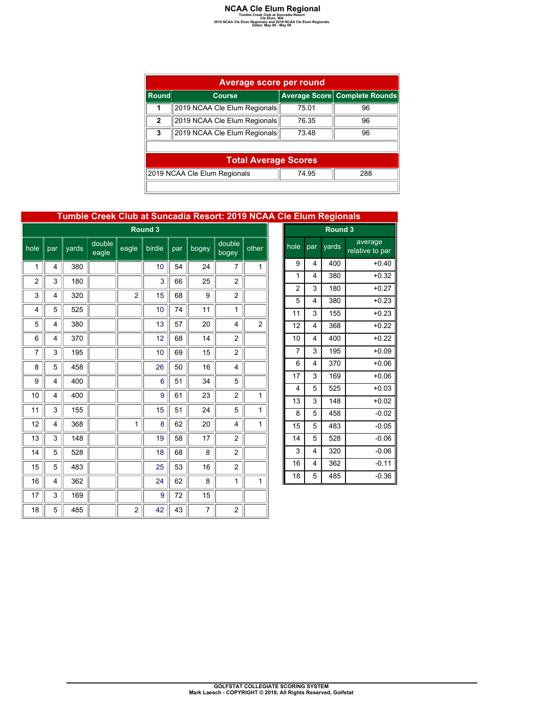### **NCAA Cle Elum Regional**<br>
Tumble Creek Club at Suncadia Resort<br>
2019 NCAA Cle Elum Regionals<br>
Dates: May 06 - May 08<br>
Dates: May 06 - May 08

|              | Average score per round                      |       |                               |  |  |  |  |  |  |  |  |
|--------------|----------------------------------------------|-------|-------------------------------|--|--|--|--|--|--|--|--|
| Round        | <b>Course</b>                                |       | Average Score Complete Rounds |  |  |  |  |  |  |  |  |
| 1            | 2019 NCAA Cle Elum Regionals                 | 75.01 | 96                            |  |  |  |  |  |  |  |  |
| $\mathbf{2}$ | 2019 NCAA Cle Elum Regionals                 | 76.35 | 96                            |  |  |  |  |  |  |  |  |
| 3            | 2019 NCAA Cle Elum Regionals                 | 73.48 | 96                            |  |  |  |  |  |  |  |  |
|              |                                              |       |                               |  |  |  |  |  |  |  |  |
|              | <b>Total Average Scores</b>                  |       |                               |  |  |  |  |  |  |  |  |
|              | 2019 NCAA Cle Elum Regionals<br>288<br>74 95 |       |                               |  |  |  |  |  |  |  |  |
|              |                                              |       |                               |  |  |  |  |  |  |  |  |

#### **Tumble Creek Club at Suncadia Resort: 2019 NCAA Cle Elum Regionals**

|                | Round 3 |       |                 |                |        |     |       |                 |                |  |  |
|----------------|---------|-------|-----------------|----------------|--------|-----|-------|-----------------|----------------|--|--|
| hole           | par     | yards | double<br>eagle | eagle          | birdie | par | bogey | double<br>bogey | other          |  |  |
| 1              | 4       | 380   |                 |                | 10     | 54  | 24    | 7               | 1              |  |  |
| $\overline{2}$ | 3       | 180   |                 |                | 3      | 66  | 25    | $\overline{2}$  |                |  |  |
| 3              | 4       | 320   |                 | $\overline{2}$ | 15     | 68  | 9     | $\overline{2}$  |                |  |  |
| 4              | 5       | 525   |                 |                | 10     | 74  | 11    | 1               |                |  |  |
| 5              | 4       | 380   |                 |                | 13     | 57  | 20    | 4               | $\overline{2}$ |  |  |
| 6              | 4       | 370   |                 |                | 12     | 68  | 14    | $\overline{2}$  |                |  |  |
| 7              | 3       | 195   |                 |                | 10     | 69  | 15    | $\overline{c}$  |                |  |  |
| 8              | 5       | 458   |                 |                | 26     | 50  | 16    | 4               |                |  |  |
| 9              | 4       | 400   |                 |                | 6      | 51  | 34    | 5               |                |  |  |
| 10             | 4       | 400   |                 |                | 9      | 61  | 23    | $\overline{c}$  | 1              |  |  |
| 11             | 3       | 155   |                 |                | 15     | 51  | 24    | 5               | 1              |  |  |
| 12             | 4       | 368   |                 | 1              | 8      | 62  | 20    | 4               | 1              |  |  |
| 13             | 3       | 148   |                 |                | 19     | 58  | 17    | $\overline{c}$  |                |  |  |
| 14             | 5       | 528   |                 |                | 18     | 68  | 8     | $\overline{c}$  |                |  |  |
| 15             | 5       | 483   |                 |                | 25     | 53  | 16    | $\overline{c}$  |                |  |  |
| 16             | 4       | 362   |                 |                | 24     | 62  | 8     | 1               | 1              |  |  |
| 17             | 3       | 169   |                 |                | 9      | 72  | 15    |                 |                |  |  |
| 18             | 5       | 485   |                 | $\overline{2}$ | 42     | 43  | 7     | $\overline{2}$  |                |  |  |

| Round <sub>3</sub>      |     |       |                            |  |  |  |  |  |  |
|-------------------------|-----|-------|----------------------------|--|--|--|--|--|--|
| hole                    | par | yards | average<br>relative to par |  |  |  |  |  |  |
| 9                       | 4   | 400   | $+0.40$                    |  |  |  |  |  |  |
| 1                       | 4   | 380   | $+0.32$                    |  |  |  |  |  |  |
| $\overline{2}$          | 3   | 180   | $+0.27$                    |  |  |  |  |  |  |
| 5                       | 4   | 380   | $+0.23$                    |  |  |  |  |  |  |
| 11                      | 3   | 155   | $+0.23$                    |  |  |  |  |  |  |
| 12                      | 4   | 368   | $+0.22$                    |  |  |  |  |  |  |
| 10                      | 4   | 400   | $+0.22$                    |  |  |  |  |  |  |
| $\overline{7}$          | 3   | 195   | $+0.09$                    |  |  |  |  |  |  |
| 6                       | 4   | 370   | $+0.06$                    |  |  |  |  |  |  |
| 17                      | 3   | 169   | $+0.06$                    |  |  |  |  |  |  |
| $\overline{\mathbf{4}}$ | 5   | 525   | $+0.03$                    |  |  |  |  |  |  |
| 13                      | 3   | 148   | $+0.02$                    |  |  |  |  |  |  |
| 8                       | 5   | 458   | $-0.02$                    |  |  |  |  |  |  |
| 15                      | 5   | 483   | $-0.05$                    |  |  |  |  |  |  |
| 14                      | 5   | 528   | $-0.06$                    |  |  |  |  |  |  |
| 3                       | 4   | 320   | $-0.06$                    |  |  |  |  |  |  |
| 16                      | 4   | 362   | $-0.11$                    |  |  |  |  |  |  |
| 18                      | 5   | 485   | $-0.36$                    |  |  |  |  |  |  |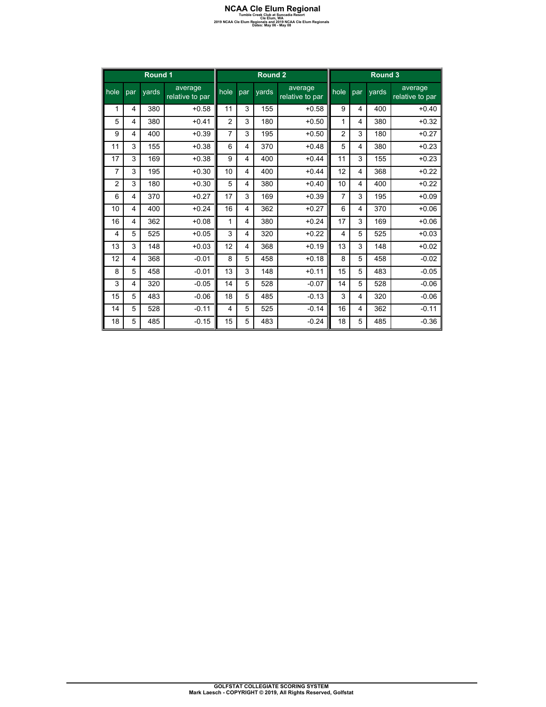### **NCAA Cle Elum Regional**<br>
Tumble Creek Club at Suncadia Resort<br>
2019 NCAA Cle Elum Regionals<br>
Dates: May 06 - May 08<br>
Dates: May 06 - May 08

|                | Round 1 |       | Round <sub>2</sub>         |                |     |       | Round 3                    |                |     |       |                            |
|----------------|---------|-------|----------------------------|----------------|-----|-------|----------------------------|----------------|-----|-------|----------------------------|
| hole           | par     | vards | average<br>relative to par | hole           | par | vards | average<br>relative to par | hole           | par | vards | average<br>relative to par |
| 1              | 4       | 380   | $+0.58$                    | 11             | 3   | 155   | $+0.58$                    | 9              | 4   | 400   | $+0.40$                    |
| 5              | 4       | 380   | $+0.41$                    | $\overline{2}$ | 3   | 180   | $+0.50$                    | 1              | 4   | 380   | $+0.32$                    |
| 9              | 4       | 400   | $+0.39$                    | $\overline{7}$ | 3   | 195   | $+0.50$                    | $\overline{c}$ | 3   | 180   | $+0.27$                    |
| 11             | 3       | 155   | $+0.38$                    | 6              | 4   | 370   | $+0.48$                    | 5              | 4   | 380   | $+0.23$                    |
| 17             | 3       | 169   | $+0.38$                    | 9              | 4   | 400   | $+0.44$                    | 11             | 3   | 155   | $+0.23$                    |
| $\overline{7}$ | 3       | 195   | $+0.30$                    | 10             | 4   | 400   | $+0.44$                    | 12             | 4   | 368   | $+0.22$                    |
| $\overline{2}$ | 3       | 180   | $+0.30$                    | 5              | 4   | 380   | $+0.40$                    | 10             | 4   | 400   | $+0.22$                    |
| 6              | 4       | 370   | $+0.27$                    | 17             | 3   | 169   | $+0.39$                    | $\overline{7}$ | 3   | 195   | $+0.09$                    |
| 10             | 4       | 400   | $+0.24$                    | 16             | 4   | 362   | $+0.27$                    | 6              | 4   | 370   | $+0.06$                    |
| 16             | 4       | 362   | $+0.08$                    | 1              | 4   | 380   | $+0.24$                    | 17             | 3   | 169   | $+0.06$                    |
| 4              | 5       | 525   | $+0.05$                    | 3              | 4   | 320   | $+0.22$                    | 4              | 5   | 525   | $+0.03$                    |
| 13             | 3       | 148   | $+0.03$                    | 12             | 4   | 368   | $+0.19$                    | 13             | 3   | 148   | $+0.02$                    |
| 12             | 4       | 368   | $-0.01$                    | 8              | 5   | 458   | $+0.18$                    | 8              | 5   | 458   | $-0.02$                    |
| 8              | 5       | 458   | $-0.01$                    | 13             | 3   | 148   | $+0.11$                    | 15             | 5   | 483   | $-0.05$                    |
| 3              | 4       | 320   | $-0.05$                    | 14             | 5   | 528   | $-0.07$                    | 14             | 5   | 528   | $-0.06$                    |
| 15             | 5       | 483   | $-0.06$                    | 18             | 5   | 485   | $-0.13$                    | 3              | 4   | 320   | $-0.06$                    |
| 14             | 5       | 528   | $-0.11$                    | $\overline{4}$ | 5   | 525   | $-0.14$                    | 16             | 4   | 362   | $-0.11$                    |
| 18             | 5       | 485   | $-0.15$                    | 15             | 5   | 483   | $-0.24$                    | 18             | 5   | 485   | $-0.36$                    |